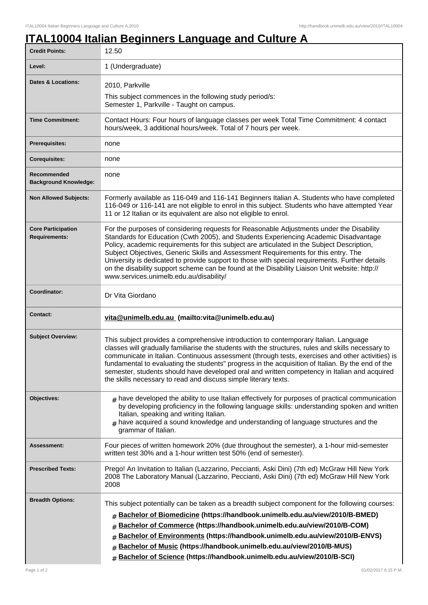## **ITAL10004 Italian Beginners Language and Culture A**

| <b>Credit Points:</b>                             | 12.50                                                                                                                                                                                                                                                                                                                                                                                                                                                                                                                                                                                                              |
|---------------------------------------------------|--------------------------------------------------------------------------------------------------------------------------------------------------------------------------------------------------------------------------------------------------------------------------------------------------------------------------------------------------------------------------------------------------------------------------------------------------------------------------------------------------------------------------------------------------------------------------------------------------------------------|
| Level:                                            | 1 (Undergraduate)                                                                                                                                                                                                                                                                                                                                                                                                                                                                                                                                                                                                  |
| <b>Dates &amp; Locations:</b>                     | 2010, Parkville<br>This subject commences in the following study period/s:<br>Semester 1, Parkville - Taught on campus.                                                                                                                                                                                                                                                                                                                                                                                                                                                                                            |
| <b>Time Commitment:</b>                           | Contact Hours: Four hours of language classes per week Total Time Commitment: 4 contact<br>hours/week, 3 additional hours/week. Total of 7 hours per week.                                                                                                                                                                                                                                                                                                                                                                                                                                                         |
| <b>Prerequisites:</b>                             | none                                                                                                                                                                                                                                                                                                                                                                                                                                                                                                                                                                                                               |
| <b>Corequisites:</b>                              | none                                                                                                                                                                                                                                                                                                                                                                                                                                                                                                                                                                                                               |
| Recommended<br><b>Background Knowledge:</b>       | none                                                                                                                                                                                                                                                                                                                                                                                                                                                                                                                                                                                                               |
| <b>Non Allowed Subjects:</b>                      | Formerly available as 116-049 and 116-141 Beginners Italian A. Students who have completed<br>116-049 or 116-141 are not eligible to enrol in this subject. Students who have attempted Year<br>11 or 12 Italian or its equivalent are also not eligible to enrol.                                                                                                                                                                                                                                                                                                                                                 |
| <b>Core Participation</b><br><b>Requirements:</b> | For the purposes of considering requests for Reasonable Adjustments under the Disability<br>Standards for Education (Cwth 2005), and Students Experiencing Academic Disadvantage<br>Policy, academic requirements for this subject are articulated in the Subject Description,<br>Subject Objectives, Generic Skills and Assessment Requirements for this entry. The<br>University is dedicated to provide support to those with special requirements. Further details<br>on the disability support scheme can be found at the Disability Liaison Unit website: http://<br>www.services.unimelb.edu.au/disability/ |
| Coordinator:                                      | Dr Vita Giordano                                                                                                                                                                                                                                                                                                                                                                                                                                                                                                                                                                                                   |
| <b>Contact:</b>                                   | vita@unimelb.edu.au (mailto:vita@unimelb.edu.au)                                                                                                                                                                                                                                                                                                                                                                                                                                                                                                                                                                   |
| <b>Subject Overview:</b>                          | This subject provides a comprehensive introduction to contemporary Italian. Language<br>classes will gradually familiarise the students with the structures, rules and skills necessary to<br>communicate in Italian. Continuous assessment (through tests, exercises and other activities) is<br>fundamental to evaluating the students" progress in the acquisition of Italian. By the end of the<br>semester, students should have developed oral and written competency in Italian and acquired<br>the skills necessary to read and discuss simple literary texts.                                             |
| Objectives:                                       | $#$ have developed the ability to use Italian effectively for purposes of practical communication<br>by developing proficiency in the following language skills: understanding spoken and written<br>Italian, speaking and writing Italian.<br>$#$ have acquired a sound knowledge and understanding of language structures and the<br>grammar of Italian.                                                                                                                                                                                                                                                         |
| Assessment:                                       | Four pieces of written homework 20% (due throughout the semester), a 1-hour mid-semester<br>written test 30% and a 1-hour written test 50% (end of semester).                                                                                                                                                                                                                                                                                                                                                                                                                                                      |
| <b>Prescribed Texts:</b>                          | Prego! An Invitation to Italian (Lazzarino, Peccianti, Aski Dini) (7th ed) McGraw Hill New York<br>2008 The Laboratory Manual (Lazzarino, Peccianti, Aski Dini) (7th ed) McGraw Hill New York<br>2008                                                                                                                                                                                                                                                                                                                                                                                                              |
| <b>Breadth Options:</b>                           | This subject potentially can be taken as a breadth subject component for the following courses:<br>Bachelor of Biomedicine (https://handbook.unimelb.edu.au/view/2010/B-BMED)<br>#<br>Bachelor of Commerce (https://handbook.unimelb.edu.au/view/2010/B-COM)<br>#<br>Bachelor of Environments (https://handbook.unimelb.edu.au/view/2010/B-ENVS)<br>#<br>Bachelor of Music (https://handbook.unimelb.edu.au/view/2010/B-MUS)<br>#<br>Bachelor of Science (https://handbook.unimelb.edu.au/view/2010/B-SCI)<br>#                                                                                                    |